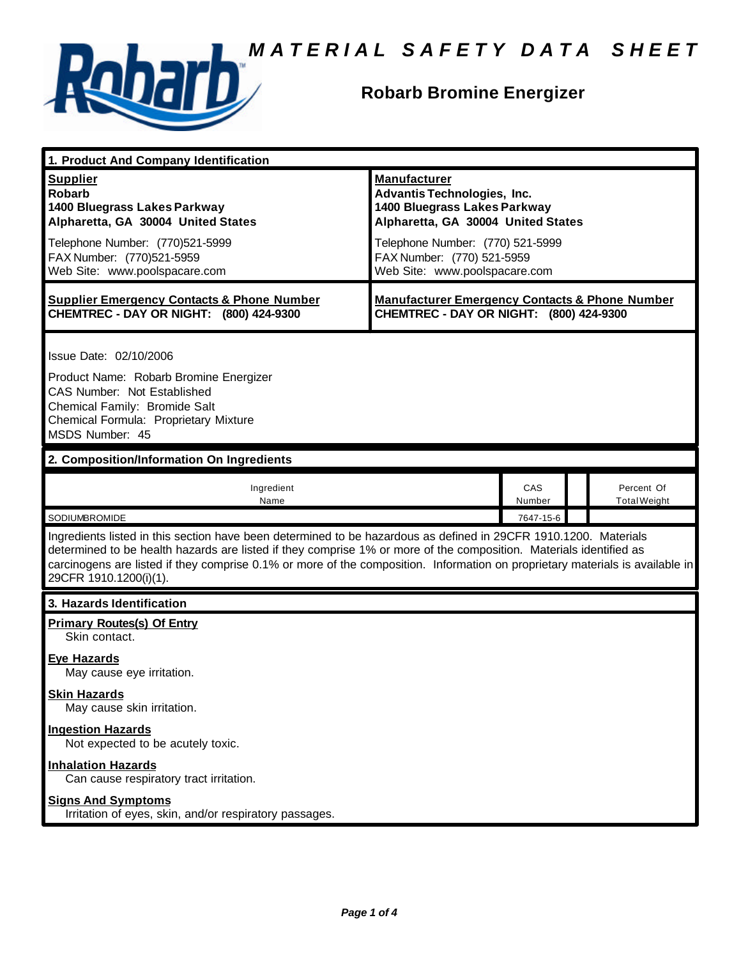

#### **Robarb Bromine Energizer**

| 1. Product And Company Identification                                                                                                                                                                                                                                                                                                                                                             |                                                                                                                                                                     |               |                                   |  |
|---------------------------------------------------------------------------------------------------------------------------------------------------------------------------------------------------------------------------------------------------------------------------------------------------------------------------------------------------------------------------------------------------|---------------------------------------------------------------------------------------------------------------------------------------------------------------------|---------------|-----------------------------------|--|
| <b>Supplier</b><br><b>Robarb</b><br>1400 Bluegrass Lakes Parkway<br>Alpharetta, GA 30004 United States<br>Telephone Number: (770)521-5999                                                                                                                                                                                                                                                         | <b>Manufacturer</b><br><b>Advantis Technologies, Inc.</b><br>1400 Bluegrass Lakes Parkway<br>Alpharetta, GA 30004 United States<br>Telephone Number: (770) 521-5999 |               |                                   |  |
| FAX Number: (770)521-5959<br>Web Site: www.poolspacare.com                                                                                                                                                                                                                                                                                                                                        | FAX Number: (770) 521-5959<br>Web Site: www.poolspacare.com                                                                                                         |               |                                   |  |
| <b>Supplier Emergency Contacts &amp; Phone Number</b><br>CHEMTREC - DAY OR NIGHT: (800) 424-9300                                                                                                                                                                                                                                                                                                  | <b>Manufacturer Emergency Contacts &amp; Phone Number</b><br>CHEMTREC - DAY OR NIGHT: (800) 424-9300                                                                |               |                                   |  |
| Issue Date: 02/10/2006<br>Product Name: Robarb Bromine Energizer<br>CAS Number: Not Established<br>Chemical Family: Bromide Salt<br>Chemical Formula: Proprietary Mixture<br>MSDS Number: 45                                                                                                                                                                                                      |                                                                                                                                                                     |               |                                   |  |
| 2. Composition/Information On Ingredients                                                                                                                                                                                                                                                                                                                                                         |                                                                                                                                                                     |               |                                   |  |
| Ingredient<br>Name                                                                                                                                                                                                                                                                                                                                                                                |                                                                                                                                                                     | CAS<br>Number | Percent Of<br><b>Total Weight</b> |  |
| SODIUMBROMIDE                                                                                                                                                                                                                                                                                                                                                                                     |                                                                                                                                                                     | 7647-15-6     |                                   |  |
| Ingredients listed in this section have been determined to be hazardous as defined in 29CFR 1910.1200. Materials<br>determined to be health hazards are listed if they comprise 1% or more of the composition. Materials identified as<br>carcinogens are listed if they comprise 0.1% or more of the composition. Information on proprietary materials is available in<br>29CFR 1910.1200(i)(1). |                                                                                                                                                                     |               |                                   |  |
| 3. Hazards Identification                                                                                                                                                                                                                                                                                                                                                                         |                                                                                                                                                                     |               |                                   |  |
| <b>Primary Routes(s) Of Entry</b><br>Skin contact.                                                                                                                                                                                                                                                                                                                                                |                                                                                                                                                                     |               |                                   |  |
| <b>Eye Hazards</b><br>May cause eye irritation.                                                                                                                                                                                                                                                                                                                                                   |                                                                                                                                                                     |               |                                   |  |
| <b>Skin Hazards</b><br>May cause skin irritation.                                                                                                                                                                                                                                                                                                                                                 |                                                                                                                                                                     |               |                                   |  |
| <b>Ingestion Hazards</b><br>Not expected to be acutely toxic.                                                                                                                                                                                                                                                                                                                                     |                                                                                                                                                                     |               |                                   |  |
| <b>Inhalation Hazards</b><br>Can cause respiratory tract irritation.                                                                                                                                                                                                                                                                                                                              |                                                                                                                                                                     |               |                                   |  |
| <b>Signs And Symptoms</b><br>Irritation of eyes, skin, and/or respiratory passages.                                                                                                                                                                                                                                                                                                               |                                                                                                                                                                     |               |                                   |  |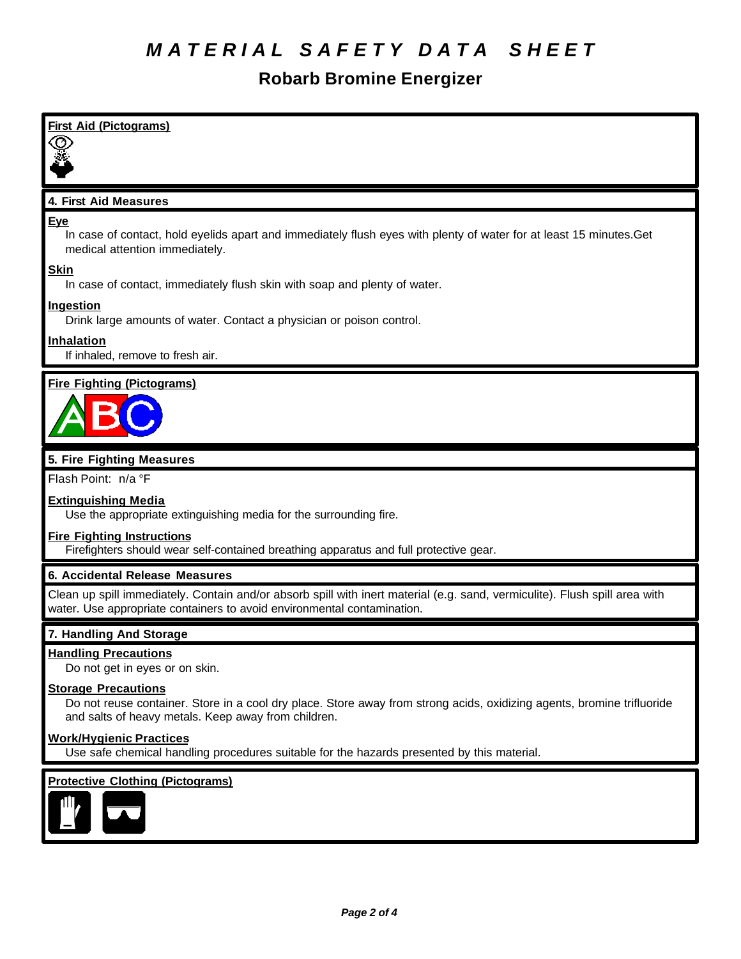# **Robarb Bromine Energizer**

| <b>First Aid (Pictograms)</b>                                                                                                                                                                               |
|-------------------------------------------------------------------------------------------------------------------------------------------------------------------------------------------------------------|
|                                                                                                                                                                                                             |
| 4. First Aid Measures                                                                                                                                                                                       |
| <u>Eye</u><br>In case of contact, hold eyelids apart and immediately flush eyes with plenty of water for at least 15 minutes. Get<br>medical attention immediately.                                         |
| <u>Skin</u><br>In case of contact, immediately flush skin with soap and plenty of water.                                                                                                                    |
| <u>Ingestion</u><br>Drink large amounts of water. Contact a physician or poison control.                                                                                                                    |
| <u>Inhalation</u><br>If inhaled, remove to fresh air.                                                                                                                                                       |
| <b>Fire Fighting (Pictograms)</b>                                                                                                                                                                           |
| 5. Fire Fighting Measures                                                                                                                                                                                   |
| Flash Point: n/a °F                                                                                                                                                                                         |
| <b>Extinguishing Media</b><br>Use the appropriate extinguishing media for the surrounding fire.                                                                                                             |
| <b>Fire Fighting Instructions</b><br>Firefighters should wear self-contained breathing apparatus and full protective gear.                                                                                  |
| 6. Accidental Release Measures                                                                                                                                                                              |
| Clean up spill immediately. Contain and/or absorb spill with inert material (e.g. sand, vermiculite). Flush spill area with<br>water. Use appropriate containers to avoid environmental contamination.      |
| 7. Handling And Storage                                                                                                                                                                                     |
| <b>Handling Precautions</b><br>Do not get in eyes or on skin.                                                                                                                                               |
| <b>Storage Precautions</b><br>Do not reuse container. Store in a cool dry place. Store away from strong acids, oxidizing agents, bromine trifluoride<br>and salts of heavy metals. Keep away from children. |
| <u>Work/Hygienic Practices</u><br>Use safe chemical handling procedures suitable for the hazards presented by this material.                                                                                |
| <b>Protective Clothing (Pictograms)</b>                                                                                                                                                                     |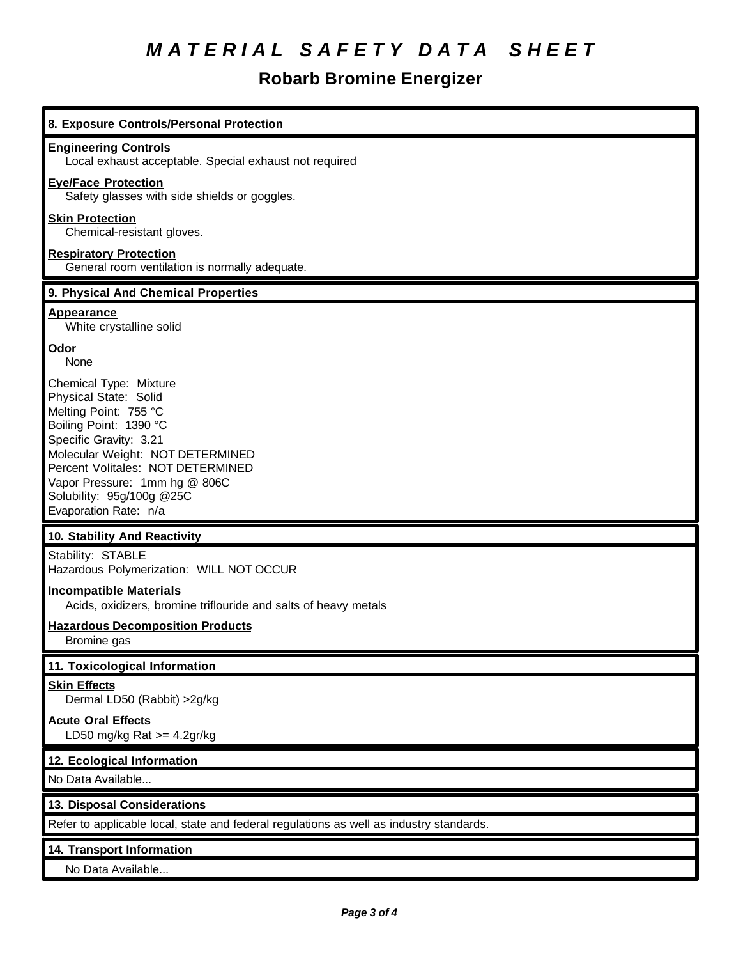# **Robarb Bromine Energizer**

| 8. Exposure Controls/Personal Protection                                                                                                                                                                                                                                                     |
|----------------------------------------------------------------------------------------------------------------------------------------------------------------------------------------------------------------------------------------------------------------------------------------------|
| <b>Engineering Controls</b><br>Local exhaust acceptable. Special exhaust not required                                                                                                                                                                                                        |
| <b>Eye/Face Protection</b><br>Safety glasses with side shields or goggles.                                                                                                                                                                                                                   |
| <b>Skin Protection</b><br>Chemical-resistant gloves.                                                                                                                                                                                                                                         |
| <b>Respiratory Protection</b><br>General room ventilation is normally adequate.                                                                                                                                                                                                              |
| 9. Physical And Chemical Properties                                                                                                                                                                                                                                                          |
| <b>Appearance</b><br>White crystalline solid                                                                                                                                                                                                                                                 |
| Odor<br>None                                                                                                                                                                                                                                                                                 |
| Chemical Type: Mixture<br>Physical State: Solid<br>Melting Point: 755 °C<br>Boiling Point: 1390 °C<br>Specific Gravity: 3.21<br>Molecular Weight: NOT DETERMINED<br>Percent Volitales: NOT DETERMINED<br>Vapor Pressure: 1mm hg @ 806C<br>Solubility: 95g/100g @25C<br>Evaporation Rate: n/a |
| 10. Stability And Reactivity                                                                                                                                                                                                                                                                 |
| Stability: STABLE<br>Hazardous Polymerization: WILL NOT OCCUR                                                                                                                                                                                                                                |
| <b>Incompatible Materials</b><br>Acids, oxidizers, bromine triflouride and salts of heavy metals                                                                                                                                                                                             |
| <b>Hazardous Decomposition Products</b><br>Bromine gas                                                                                                                                                                                                                                       |
| 11. Toxicological Information                                                                                                                                                                                                                                                                |
| <b>Skin Effects</b><br>Dermal LD50 (Rabbit) >2g/kg                                                                                                                                                                                                                                           |
| <b>Acute Oral Effects</b><br>LD50 mg/kg Rat $>=$ 4.2gr/kg                                                                                                                                                                                                                                    |
| 12. Ecological Information                                                                                                                                                                                                                                                                   |
| No Data Available                                                                                                                                                                                                                                                                            |
| 13. Disposal Considerations                                                                                                                                                                                                                                                                  |
| Refer to applicable local, state and federal regulations as well as industry standards.                                                                                                                                                                                                      |
| 14. Transport Information                                                                                                                                                                                                                                                                    |
| No Data Available                                                                                                                                                                                                                                                                            |